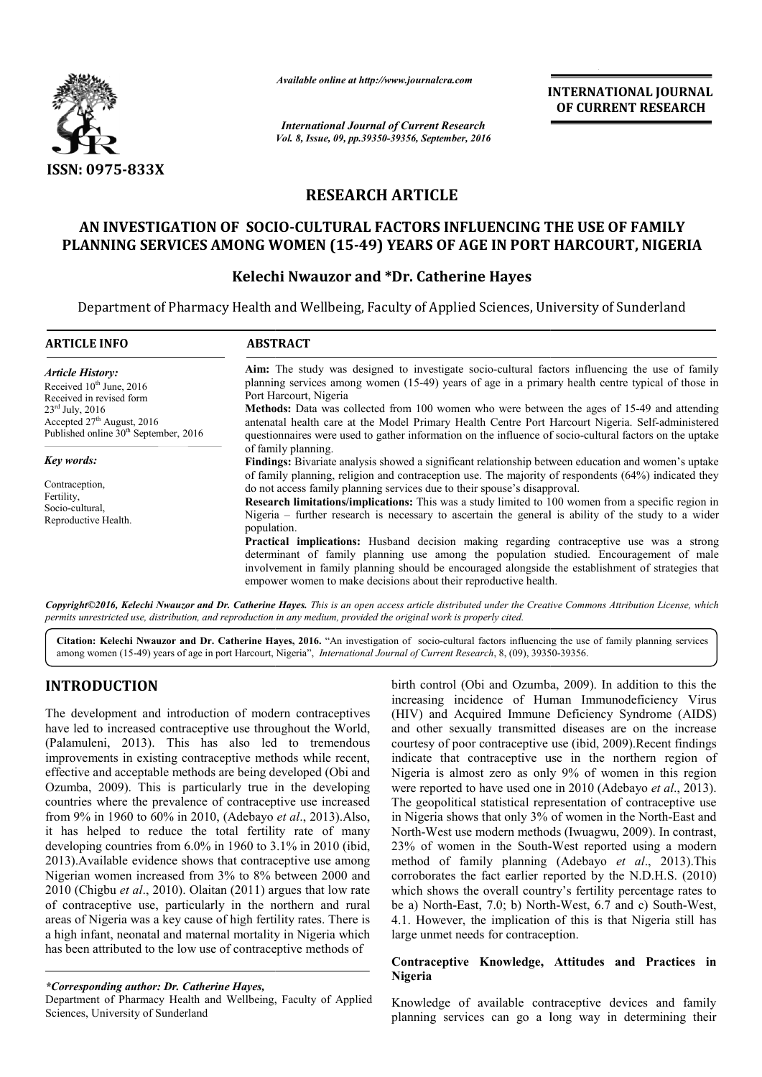

*Available online at http://www.journalcra.com*

# RESEARCH ARTICLE

# AN INVESTIGATION OF SOCIO SOCIO-CULTURAL FACTORS INFLUENCING THE USE OF FAMILY AN INVESTIGATION OF SOCIO-CULTURAL FACTORS INFLUENCING THE USE OF FAMILY<br>PLANNING SERVICES AMONG WOMEN (15-49) YEARS OF AGE IN PORT HARCOURT, NIGERIA

# Kelechi Nwauzor and \*Dr. Catherine Hayes

|                                                                                                                                                                                                                                                                                                                                                                                                                                                                                                                                                                                                                                                                                                                                                                                                                                                                                                                                                                                                                                                                                                                          |                                                                                                                                                                                                                                                                                                                                                                                                                                                                                                                                                                                                                                                                                                                                                                                                                                                                                      | <b>International Journal of Current Research</b>   | <b>INTERNATIONAL JOURNAL</b><br>OF CURRENT RESEARCH                                                                                                                                                                                                                                                                                                                                                                                                                                                                                                                                                                                                                                                                                                                                                                                                                                                                                                                                                                                       |
|--------------------------------------------------------------------------------------------------------------------------------------------------------------------------------------------------------------------------------------------------------------------------------------------------------------------------------------------------------------------------------------------------------------------------------------------------------------------------------------------------------------------------------------------------------------------------------------------------------------------------------------------------------------------------------------------------------------------------------------------------------------------------------------------------------------------------------------------------------------------------------------------------------------------------------------------------------------------------------------------------------------------------------------------------------------------------------------------------------------------------|--------------------------------------------------------------------------------------------------------------------------------------------------------------------------------------------------------------------------------------------------------------------------------------------------------------------------------------------------------------------------------------------------------------------------------------------------------------------------------------------------------------------------------------------------------------------------------------------------------------------------------------------------------------------------------------------------------------------------------------------------------------------------------------------------------------------------------------------------------------------------------------|----------------------------------------------------|-------------------------------------------------------------------------------------------------------------------------------------------------------------------------------------------------------------------------------------------------------------------------------------------------------------------------------------------------------------------------------------------------------------------------------------------------------------------------------------------------------------------------------------------------------------------------------------------------------------------------------------------------------------------------------------------------------------------------------------------------------------------------------------------------------------------------------------------------------------------------------------------------------------------------------------------------------------------------------------------------------------------------------------------|
|                                                                                                                                                                                                                                                                                                                                                                                                                                                                                                                                                                                                                                                                                                                                                                                                                                                                                                                                                                                                                                                                                                                          |                                                                                                                                                                                                                                                                                                                                                                                                                                                                                                                                                                                                                                                                                                                                                                                                                                                                                      | Vol. 8, Issue, 09, pp.39350-39356, September, 2016 |                                                                                                                                                                                                                                                                                                                                                                                                                                                                                                                                                                                                                                                                                                                                                                                                                                                                                                                                                                                                                                           |
| ISSN: 0975-833X                                                                                                                                                                                                                                                                                                                                                                                                                                                                                                                                                                                                                                                                                                                                                                                                                                                                                                                                                                                                                                                                                                          |                                                                                                                                                                                                                                                                                                                                                                                                                                                                                                                                                                                                                                                                                                                                                                                                                                                                                      |                                                    |                                                                                                                                                                                                                                                                                                                                                                                                                                                                                                                                                                                                                                                                                                                                                                                                                                                                                                                                                                                                                                           |
|                                                                                                                                                                                                                                                                                                                                                                                                                                                                                                                                                                                                                                                                                                                                                                                                                                                                                                                                                                                                                                                                                                                          |                                                                                                                                                                                                                                                                                                                                                                                                                                                                                                                                                                                                                                                                                                                                                                                                                                                                                      | <b>RESEARCH ARTICLE</b>                            |                                                                                                                                                                                                                                                                                                                                                                                                                                                                                                                                                                                                                                                                                                                                                                                                                                                                                                                                                                                                                                           |
|                                                                                                                                                                                                                                                                                                                                                                                                                                                                                                                                                                                                                                                                                                                                                                                                                                                                                                                                                                                                                                                                                                                          | AN INVESTIGATION OF SOCIO-CULTURAL FACTORS INFLUENCING THE USE OF FAMILY                                                                                                                                                                                                                                                                                                                                                                                                                                                                                                                                                                                                                                                                                                                                                                                                             |                                                    | PLANNING SERVICES AMONG WOMEN (15-49) YEARS OF AGE IN PORT HARCOURT, NIGERIA                                                                                                                                                                                                                                                                                                                                                                                                                                                                                                                                                                                                                                                                                                                                                                                                                                                                                                                                                              |
|                                                                                                                                                                                                                                                                                                                                                                                                                                                                                                                                                                                                                                                                                                                                                                                                                                                                                                                                                                                                                                                                                                                          |                                                                                                                                                                                                                                                                                                                                                                                                                                                                                                                                                                                                                                                                                                                                                                                                                                                                                      | Kelechi Nwauzor and *Dr. Catherine Hayes           |                                                                                                                                                                                                                                                                                                                                                                                                                                                                                                                                                                                                                                                                                                                                                                                                                                                                                                                                                                                                                                           |
|                                                                                                                                                                                                                                                                                                                                                                                                                                                                                                                                                                                                                                                                                                                                                                                                                                                                                                                                                                                                                                                                                                                          | Department of Pharmacy Health and Wellbeing, Faculty of Applied Sciences, University of Sunderland                                                                                                                                                                                                                                                                                                                                                                                                                                                                                                                                                                                                                                                                                                                                                                                   |                                                    |                                                                                                                                                                                                                                                                                                                                                                                                                                                                                                                                                                                                                                                                                                                                                                                                                                                                                                                                                                                                                                           |
| <b>ARTICLE INFO</b>                                                                                                                                                                                                                                                                                                                                                                                                                                                                                                                                                                                                                                                                                                                                                                                                                                                                                                                                                                                                                                                                                                      | <b>ABSTRACT</b>                                                                                                                                                                                                                                                                                                                                                                                                                                                                                                                                                                                                                                                                                                                                                                                                                                                                      |                                                    |                                                                                                                                                                                                                                                                                                                                                                                                                                                                                                                                                                                                                                                                                                                                                                                                                                                                                                                                                                                                                                           |
| <b>Article History:</b><br>Received 10 <sup>th</sup> June, 2016<br>Received in revised form<br>$23rd$ July, 2016<br>Accepted $27^{\text{th}}$ August, 2016<br>Published online $30^{\text{th}}$ September, 2016                                                                                                                                                                                                                                                                                                                                                                                                                                                                                                                                                                                                                                                                                                                                                                                                                                                                                                          | Port Harcourt, Nigeria                                                                                                                                                                                                                                                                                                                                                                                                                                                                                                                                                                                                                                                                                                                                                                                                                                                               |                                                    | Aim: The study was designed to investigate socio-cultural factors influencing the use of family<br>planning services among women (15-49) years of age in a primary health centre typical of those in<br>Methods: Data was collected from 100 women who were between the ages of 15-49 and attending<br>antenatal health care at the Model Primary Health Centre Port Harcourt Nigeria. Self-administered<br>questionnaires were used to gather information on the influence of socio-cultural factors on the uptake                                                                                                                                                                                                                                                                                                                                                                                                                                                                                                                       |
| <b>Key words:</b>                                                                                                                                                                                                                                                                                                                                                                                                                                                                                                                                                                                                                                                                                                                                                                                                                                                                                                                                                                                                                                                                                                        | of family planning.                                                                                                                                                                                                                                                                                                                                                                                                                                                                                                                                                                                                                                                                                                                                                                                                                                                                  |                                                    |                                                                                                                                                                                                                                                                                                                                                                                                                                                                                                                                                                                                                                                                                                                                                                                                                                                                                                                                                                                                                                           |
| Contraception,<br>Fertility,<br>Socio-cultural.<br>Reproductive Health.                                                                                                                                                                                                                                                                                                                                                                                                                                                                                                                                                                                                                                                                                                                                                                                                                                                                                                                                                                                                                                                  | Findings: Bivariate analysis showed a significant relationship between education and women's uptake<br>of family planning, religion and contraception use. The majority of respondents (64%) indicated they<br>do not access family planning services due to their spouse's disapproval.<br>Research limitations/implications: This was a study limited to 100 women from a specific region in<br>Nigeria – further research is necessary to ascertain the general is ability of the study to a wider<br>population.<br>Practical implications: Husband decision making regarding contraceptive use was a strong<br>determinant of family planning use among the population studied. Encouragement of male<br>involvement in family planning should be encouraged alongside the establishment of strategies that<br>empower women to make decisions about their reproductive health. |                                                    |                                                                                                                                                                                                                                                                                                                                                                                                                                                                                                                                                                                                                                                                                                                                                                                                                                                                                                                                                                                                                                           |
| permits unrestricted use, distribution, and reproduction in any medium, provided the original work is properly cited.                                                                                                                                                                                                                                                                                                                                                                                                                                                                                                                                                                                                                                                                                                                                                                                                                                                                                                                                                                                                    |                                                                                                                                                                                                                                                                                                                                                                                                                                                                                                                                                                                                                                                                                                                                                                                                                                                                                      |                                                    | Copyright©2016, Kelechi Nwauzor and Dr. Catherine Hayes. This is an open access article distributed under the Creative Commons Attribution License, which                                                                                                                                                                                                                                                                                                                                                                                                                                                                                                                                                                                                                                                                                                                                                                                                                                                                                 |
| among women (15-49) years of age in port Harcourt, Nigeria", International Journal of Current Research, 8, (09), 39350-39356.                                                                                                                                                                                                                                                                                                                                                                                                                                                                                                                                                                                                                                                                                                                                                                                                                                                                                                                                                                                            |                                                                                                                                                                                                                                                                                                                                                                                                                                                                                                                                                                                                                                                                                                                                                                                                                                                                                      |                                                    | Citation: Kelechi Nwauzor and Dr. Catherine Hayes, 2016. "An investigation of socio-cultural factors influencing the use of family planning services                                                                                                                                                                                                                                                                                                                                                                                                                                                                                                                                                                                                                                                                                                                                                                                                                                                                                      |
| <b>INTRODUCTION</b>                                                                                                                                                                                                                                                                                                                                                                                                                                                                                                                                                                                                                                                                                                                                                                                                                                                                                                                                                                                                                                                                                                      |                                                                                                                                                                                                                                                                                                                                                                                                                                                                                                                                                                                                                                                                                                                                                                                                                                                                                      |                                                    | birth control (Obi and Ozumba, 2009). In addition to this the                                                                                                                                                                                                                                                                                                                                                                                                                                                                                                                                                                                                                                                                                                                                                                                                                                                                                                                                                                             |
| The development and introduction of modern contraceptives<br>have led to increased contraceptive use throughout the World,<br>(Palamuleni, 2013). This has also led to tremendous<br>improvements in existing contraceptive methods while recent,<br>effective and acceptable methods are being developed (Obi and<br>Ozumba, 2009). This is particularly true in the developing<br>countries where the prevalence of contraceptive use increased<br>from 9% in 1960 to 60% in 2010, (Adebayo et al., 2013). Also,<br>it has helped to reduce the total fertility rate of many<br>developing countries from 6.0% in 1960 to 3.1% in 2010 (ibid,<br>2013). Available evidence shows that contraceptive use among<br>Nigerian women increased from 3% to 8% between 2000 and<br>2010 (Chigbu et al., 2010). Olaitan (2011) argues that low rate<br>of contraceptive use, particularly in the northern and rural<br>areas of Nigeria was a key cause of high fertility rates. There is<br>a high infant, neonatal and maternal mortality in Nigeria which<br>has been attributed to the low use of contraceptive methods of |                                                                                                                                                                                                                                                                                                                                                                                                                                                                                                                                                                                                                                                                                                                                                                                                                                                                                      | large unmet needs for contraception.               | increasing incidence of Human Immunodeficiency Virus<br>(HIV) and Acquired Immune Deficiency Syndrome (AIDS)<br>and other sexually transmitted diseases are on the increase<br>courtesy of poor contraceptive use (ibid, 2009). Recent findings<br>indicate that contraceptive use in the northern region of<br>Nigeria is almost zero as only 9% of women in this region<br>were reported to have used one in 2010 (Adebayo et al., 2013).<br>The geopolitical statistical representation of contraceptive use<br>in Nigeria shows that only 3% of women in the North-East and<br>North-West use modern methods (Iwuagwu, 2009). In contrast,<br>23% of women in the South-West reported using a modern<br>method of family planning (Adebayo et al., 2013). This<br>corroborates the fact earlier reported by the N.D.H.S. (2010)<br>which shows the overall country's fertility percentage rates to<br>be a) North-East, 7.0; b) North-West, 6.7 and c) South-West,<br>4.1. However, the implication of this is that Nigeria still has |
| *Corresponding author: Dr. Catherine Hayes,<br>Department of Pharmacy Health and Wellbeing, Faculty of Applied<br>Sciences, University of Sunderland                                                                                                                                                                                                                                                                                                                                                                                                                                                                                                                                                                                                                                                                                                                                                                                                                                                                                                                                                                     |                                                                                                                                                                                                                                                                                                                                                                                                                                                                                                                                                                                                                                                                                                                                                                                                                                                                                      | Nigeria                                            | Contraceptive Knowledge, Attitudes and Practices in<br>Knowledge of available contraceptive devices and family<br>planning services can go a long way in determining their                                                                                                                                                                                                                                                                                                                                                                                                                                                                                                                                                                                                                                                                                                                                                                                                                                                                |

# INTRODUCTION

#### Contraceptive Knowledge, Attitudes and Practices in Nigeria

*<sup>\*</sup>Corresponding author: Dr. Catherine Hayes,*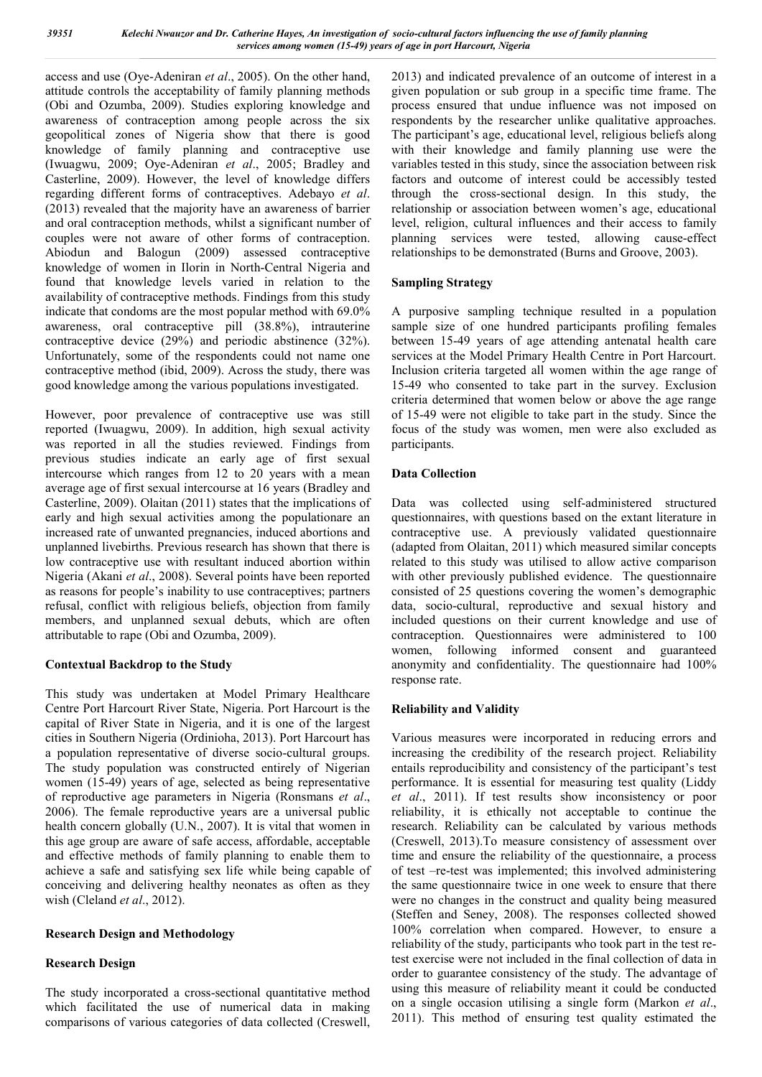access and use (Oye-Adeniran *et al*., 2005). On the other hand, attitude controls the acceptability of family planning methods (Obi and Ozumba, 2009). Studies exploring knowledge and awareness of contraception among people across the six geopolitical zones of Nigeria show that there is good knowledge of family planning and contraceptive use (Iwuagwu, 2009; Oye-Adeniran *et al*., 2005; Bradley and Casterline, 2009). However, the level of knowledge differs regarding different forms of contraceptives. Adebayo *et al*. (2013) revealed that the majority have an awareness of barrier and oral contraception methods, whilst a significant number of couples were not aware of other forms of contraception. Abiodun and Balogun (2009) assessed contraceptive knowledge of women in Ilorin in North-Central Nigeria and found that knowledge levels varied in relation to the availability of contraceptive methods. Findings from this study indicate that condoms are the most popular method with 69.0% awareness, oral contraceptive pill (38.8%), intrauterine contraceptive device (29%) and periodic abstinence (32%). Unfortunately, some of the respondents could not name one contraceptive method (ibid, 2009). Across the study, there was good knowledge among the various populations investigated.

However, poor prevalence of contraceptive use was still reported (Iwuagwu, 2009). In addition, high sexual activity was reported in all the studies reviewed. Findings from previous studies indicate an early age of first sexual intercourse which ranges from 12 to 20 years with a mean average age of first sexual intercourse at 16 years (Bradley and Casterline, 2009). Olaitan (2011) states that the implications of early and high sexual activities among the populationare an increased rate of unwanted pregnancies, induced abortions and unplanned livebirths. Previous research has shown that there is low contraceptive use with resultant induced abortion within Nigeria (Akani *et al*., 2008). Several points have been reported as reasons for people's inability to use contraceptives; partners refusal, conflict with religious beliefs, objection from family members, and unplanned sexual debuts, which are often attributable to rape (Obi and Ozumba, 2009).

## Contextual Backdrop to the Study

This study was undertaken at Model Primary Healthcare Centre Port Harcourt River State, Nigeria. Port Harcourt is the capital of River State in Nigeria, and it is one of the largest cities in Southern Nigeria (Ordinioha, 2013). Port Harcourt has a population representative of diverse socio-cultural groups. The study population was constructed entirely of Nigerian women (15-49) years of age, selected as being representative of reproductive age parameters in Nigeria (Ronsmans *et al*., 2006). The female reproductive years are a universal public health concern globally (U.N., 2007). It is vital that women in this age group are aware of safe access, affordable, acceptable and effective methods of family planning to enable them to achieve a safe and satisfying sex life while being capable of conceiving and delivering healthy neonates as often as they wish (Cleland *et al*., 2012).

## Research Design and Methodology

## Research Design

The study incorporated a cross-sectional quantitative method which facilitated the use of numerical data in making comparisons of various categories of data collected (Creswell,

2013) and indicated prevalence of an outcome of interest in a given population or sub group in a specific time frame. The process ensured that undue influence was not imposed on respondents by the researcher unlike qualitative approaches. The participant's age, educational level, religious beliefs along with their knowledge and family planning use were the variables tested in this study, since the association between risk factors and outcome of interest could be accessibly tested through the cross-sectional design. In this study, the relationship or association between women's age, educational level, religion, cultural influences and their access to family planning services were tested, allowing cause-effect relationships to be demonstrated (Burns and Groove, 2003).

## Sampling Strategy

A purposive sampling technique resulted in a population sample size of one hundred participants profiling females between 15-49 years of age attending antenatal health care services at the Model Primary Health Centre in Port Harcourt. Inclusion criteria targeted all women within the age range of 15-49 who consented to take part in the survey. Exclusion criteria determined that women below or above the age range of 15-49 were not eligible to take part in the study. Since the focus of the study was women, men were also excluded as participants.

## Data Collection

Data was collected using self-administered structured questionnaires, with questions based on the extant literature in contraceptive use. A previously validated questionnaire (adapted from Olaitan, 2011) which measured similar concepts related to this study was utilised to allow active comparison with other previously published evidence. The questionnaire consisted of 25 questions covering the women's demographic data, socio-cultural, reproductive and sexual history and included questions on their current knowledge and use of contraception. Questionnaires were administered to 100 women, following informed consent and guaranteed anonymity and confidentiality. The questionnaire had 100% response rate.

## Reliability and Validity

Various measures were incorporated in reducing errors and increasing the credibility of the research project. Reliability entails reproducibility and consistency of the participant's test performance. It is essential for measuring test quality (Liddy *et al*., 2011). If test results show inconsistency or poor reliability, it is ethically not acceptable to continue the research. Reliability can be calculated by various methods (Creswell, 2013).To measure consistency of assessment over time and ensure the reliability of the questionnaire, a process of test –re-test was implemented; this involved administering the same questionnaire twice in one week to ensure that there were no changes in the construct and quality being measured (Steffen and Seney, 2008). The responses collected showed 100% correlation when compared. However, to ensure a reliability of the study, participants who took part in the test retest exercise were not included in the final collection of data in order to guarantee consistency of the study. The advantage of using this measure of reliability meant it could be conducted on a single occasion utilising a single form (Markon *et al*., 2011). This method of ensuring test quality estimated the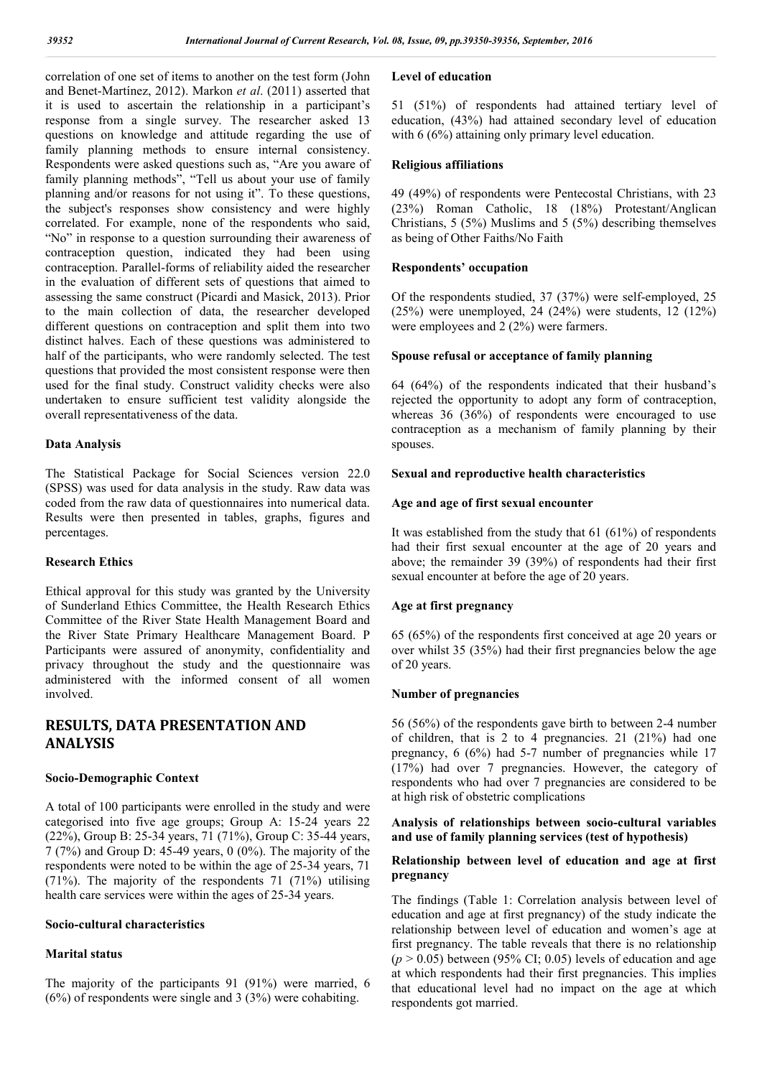correlation of one set of items to another on the test form (John and Benet-Martínez, 2012). Markon *et al*. (2011) asserted that it is used to ascertain the relationship in a participant's response from a single survey. The researcher asked 13 questions on knowledge and attitude regarding the use of family planning methods to ensure internal consistency. Respondents were asked questions such as, "Are you aware of family planning methods", "Tell us about your use of family planning and/or reasons for not using it". To these questions, the subject's responses show consistency and were highly correlated. For example, none of the respondents who said, "No" in response to a question surrounding their awareness of contraception question, indicated they had been using contraception. Parallel-forms of reliability aided the researcher in the evaluation of different sets of questions that aimed to assessing the same construct (Picardi and Masick, 2013). Prior to the main collection of data, the researcher developed different questions on contraception and split them into two distinct halves. Each of these questions was administered to half of the participants, who were randomly selected. The test questions that provided the most consistent response were then used for the final study. Construct validity checks were also undertaken to ensure sufficient test validity alongside the overall representativeness of the data.

## Data Analysis

The Statistical Package for Social Sciences version 22.0 (SPSS) was used for data analysis in the study. Raw data was coded from the raw data of questionnaires into numerical data. Results were then presented in tables, graphs, figures and percentages.

## Research Ethics

Ethical approval for this study was granted by the University of Sunderland Ethics Committee, the Health Research Ethics Committee of the River State Health Management Board and the River State Primary Healthcare Management Board. P Participants were assured of anonymity, confidentiality and privacy throughout the study and the questionnaire was administered with the informed consent of all women involved.

## RESULTS, DATA PRESENTATION AND ANALYSIS

## Socio-Demographic Context

A total of 100 participants were enrolled in the study and were categorised into five age groups; Group A: 15-24 years 22 (22%), Group B: 25-34 years, 71 (71%), Group C: 35-44 years, 7 (7%) and Group D: 45-49 years, 0 (0%). The majority of the respondents were noted to be within the age of 25-34 years, 71  $(71\%)$ . The majority of the respondents 71 (71%) utilising health care services were within the ages of 25-34 years.

## Socio-cultural characteristics

## Marital status

The majority of the participants 91 (91%) were married, 6 (6%) of respondents were single and 3 (3%) were cohabiting.

#### Level of education

51 (51%) of respondents had attained tertiary level of education, (43%) had attained secondary level of education with 6 (6%) attaining only primary level education.

## Religious affiliations

49 (49%) of respondents were Pentecostal Christians, with 23 (23%) Roman Catholic, 18 (18%) Protestant/Anglican Christians, 5 (5%) Muslims and 5 (5%) describing themselves as being of Other Faiths/No Faith

## Respondents' occupation

Of the respondents studied, 37 (37%) were self-employed, 25 (25%) were unemployed, 24 (24%) were students, 12 (12%) were employees and 2 (2%) were farmers.

#### Spouse refusal or acceptance of family planning

64 (64%) of the respondents indicated that their husband's rejected the opportunity to adopt any form of contraception, whereas 36 (36%) of respondents were encouraged to use contraception as a mechanism of family planning by their spouses.

#### Sexual and reproductive health characteristics

#### Age and age of first sexual encounter

It was established from the study that 61 (61%) of respondents had their first sexual encounter at the age of 20 years and above; the remainder 39 (39%) of respondents had their first sexual encounter at before the age of 20 years.

## Age at first pregnancy

65 (65%) of the respondents first conceived at age 20 years or over whilst 35 (35%) had their first pregnancies below the age of 20 years.

## Number of pregnancies

56 (56%) of the respondents gave birth to between 2-4 number of children, that is 2 to 4 pregnancies. 21 (21%) had one pregnancy, 6 (6%) had 5-7 number of pregnancies while 17 (17%) had over 7 pregnancies. However, the category of respondents who had over 7 pregnancies are considered to be at high risk of obstetric complications

## Analysis of relationships between socio-cultural variables and use of family planning services (test of hypothesis)

#### Relationship between level of education and age at first pregnancy

The findings (Table 1: Correlation analysis between level of education and age at first pregnancy) of the study indicate the relationship between level of education and women's age at first pregnancy. The table reveals that there is no relationship  $(p > 0.05)$  between (95% CI; 0.05) levels of education and age at which respondents had their first pregnancies. This implies that educational level had no impact on the age at which respondents got married.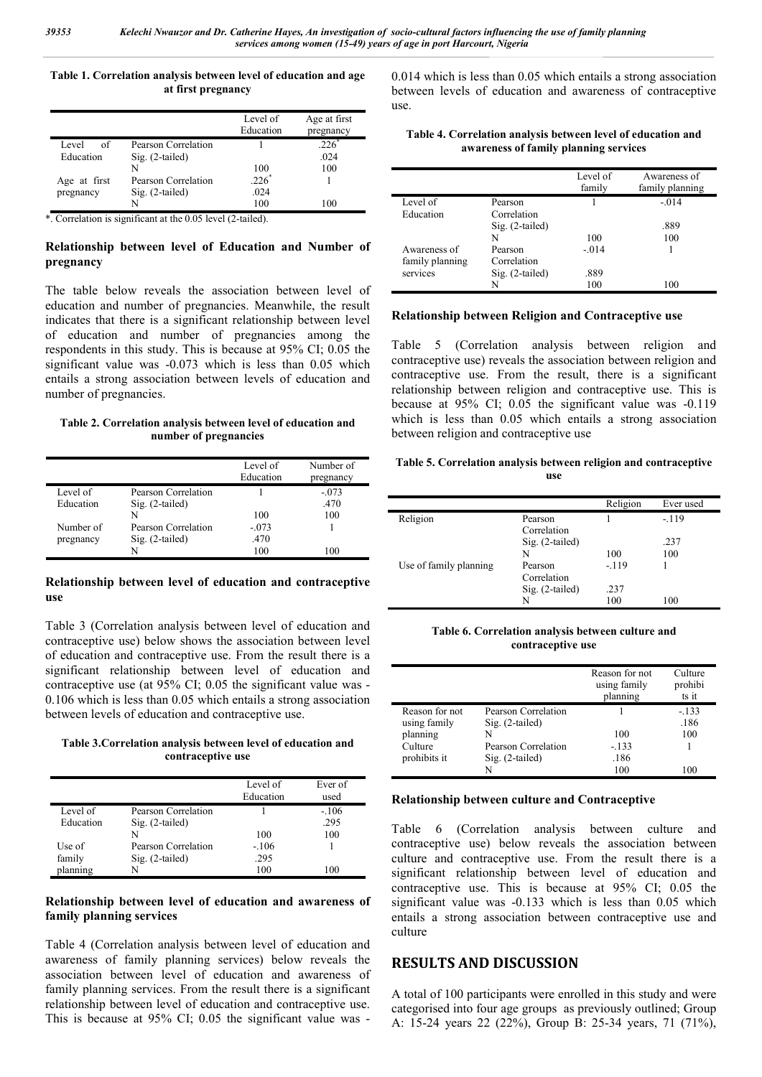#### Table 1. Correlation analysis between level of education and age at first pregnancy

|              |                     | Level of<br>Education | Age at first<br>pregnancy |
|--------------|---------------------|-----------------------|---------------------------|
| Level<br>of  | Pearson Correlation |                       | $.226*$                   |
| Education    | $Sig. (2-tailed)$   |                       | .024                      |
|              | N                   | 100                   | 100                       |
| Age at first | Pearson Correlation | $.226*$               |                           |
| pregnancy    | $Sig. (2-tailed)$   | .024                  |                           |
|              | N                   | 100                   | 100                       |

\*. Correlation is significant at the 0.05 level (2-tailed).

## Relationship between level of Education and Number of pregnancy

The table below reveals the association between level of education and number of pregnancies. Meanwhile, the result indicates that there is a significant relationship between level of education and number of pregnancies among the respondents in this study. This is because at 95% CI; 0.05 the significant value was -0.073 which is less than 0.05 which entails a strong association between levels of education and number of pregnancies.

#### Table 2. Correlation analysis between level of education and number of pregnancies

|           |                     | Level of<br>Education | Number of<br>pregnancy |
|-----------|---------------------|-----------------------|------------------------|
| Level of  | Pearson Correlation |                       | $-073$                 |
| Education | $Sig. (2-tailed)$   |                       | .470                   |
|           | N                   | 100                   | 100                    |
| Number of | Pearson Correlation | $-.073$               |                        |
| pregnancy | Sig. (2-tailed)     | .470                  |                        |
|           | N                   | 100                   | 100                    |

## Relationship between level of education and contraceptive use

Table 3 (Correlation analysis between level of education and contraceptive use) below shows the association between level of education and contraceptive use. From the result there is a significant relationship between level of education and contraceptive use (at 95% CI; 0.05 the significant value was - 0.106 which is less than 0.05 which entails a strong association between levels of education and contraceptive use.

#### Table 3.Correlation analysis between level of education and contraceptive use

|           |                     | Level of<br>Education | Ever of<br>used |
|-----------|---------------------|-----------------------|-----------------|
| Level of  | Pearson Correlation |                       | $-.106$         |
| Education | Sig. (2-tailed)     |                       | .295            |
|           |                     | 100                   | 100             |
| Use of    | Pearson Correlation | $-.106$               |                 |
| family    | Sig. (2-tailed)     | .295                  |                 |
| planning  |                     | 100                   | 100             |

## Relationship between level of education and awareness of family planning services

Table 4 (Correlation analysis between level of education and awareness of family planning services) below reveals the association between level of education and awareness of family planning services. From the result there is a significant relationship between level of education and contraceptive use. This is because at 95% CI; 0.05 the significant value was -

0.014 which is less than 0.05 which entails a strong association between levels of education and awareness of contraceptive use.

| Table 4. Correlation analysis between level of education and |
|--------------------------------------------------------------|
| awareness of family planning services                        |

|                                 |                        | Level of<br>family | Awareness of<br>family planning |
|---------------------------------|------------------------|--------------------|---------------------------------|
| Level of                        | Pearson                |                    | $-0.014$                        |
| Education                       | Correlation            |                    |                                 |
|                                 | Sig. (2-tailed)        |                    | .889                            |
|                                 | N                      | 100                | 100                             |
| Awareness of<br>family planning | Pearson<br>Correlation | $-0.014$           |                                 |
| services                        | Sig. (2-tailed)        | .889               |                                 |
|                                 | N                      | 100                | 100                             |

## Relationship between Religion and Contraceptive use

Table 5 (Correlation analysis between religion and contraceptive use) reveals the association between religion and contraceptive use. From the result, there is a significant relationship between religion and contraceptive use. This is because at 95% CI; 0.05 the significant value was -0.119 which is less than 0.05 which entails a strong association between religion and contraceptive use

Table 5. Correlation analysis between religion and contraceptive use

|                        |                        | Religion | Ever used |
|------------------------|------------------------|----------|-----------|
| Religion               | Pearson<br>Correlation |          | $-119$    |
|                        | Sig. (2-tailed)        |          | .237      |
|                        | N                      | 100      | 100       |
| Use of family planning | Pearson                | $-119$   |           |
|                        | Correlation            |          |           |
|                        | Sig. (2-tailed)        | .237     |           |
|                        | N                      | 100      | 100       |

Table 6. Correlation analysis between culture and contraceptive use

|                |                     | Reason for not<br>using family<br>planning | Culture<br>prohibi<br>ts it |
|----------------|---------------------|--------------------------------------------|-----------------------------|
| Reason for not | Pearson Correlation |                                            | $-133$                      |
| using family   | $Sig. (2-tailed)$   |                                            | .186                        |
| planning       | N                   | 100                                        | 100                         |
| Culture        | Pearson Correlation | $-133$                                     |                             |
| prohibits it   | $Sig. (2-tailed)$   | .186                                       |                             |
|                | N                   | 100                                        | 100                         |

## Relationship between culture and Contraceptive

Table 6 (Correlation analysis between culture and contraceptive use) below reveals the association between culture and contraceptive use. From the result there is a significant relationship between level of education and contraceptive use. This is because at 95% CI; 0.05 the significant value was -0.133 which is less than 0.05 which entails a strong association between contraceptive use and culture

# RESULTS AND DISCUSSION

A total of 100 participants were enrolled in this study and were categorised into four age groups as previously outlined; Group A: 15-24 years 22 (22%), Group B: 25-34 years, 71 (71%),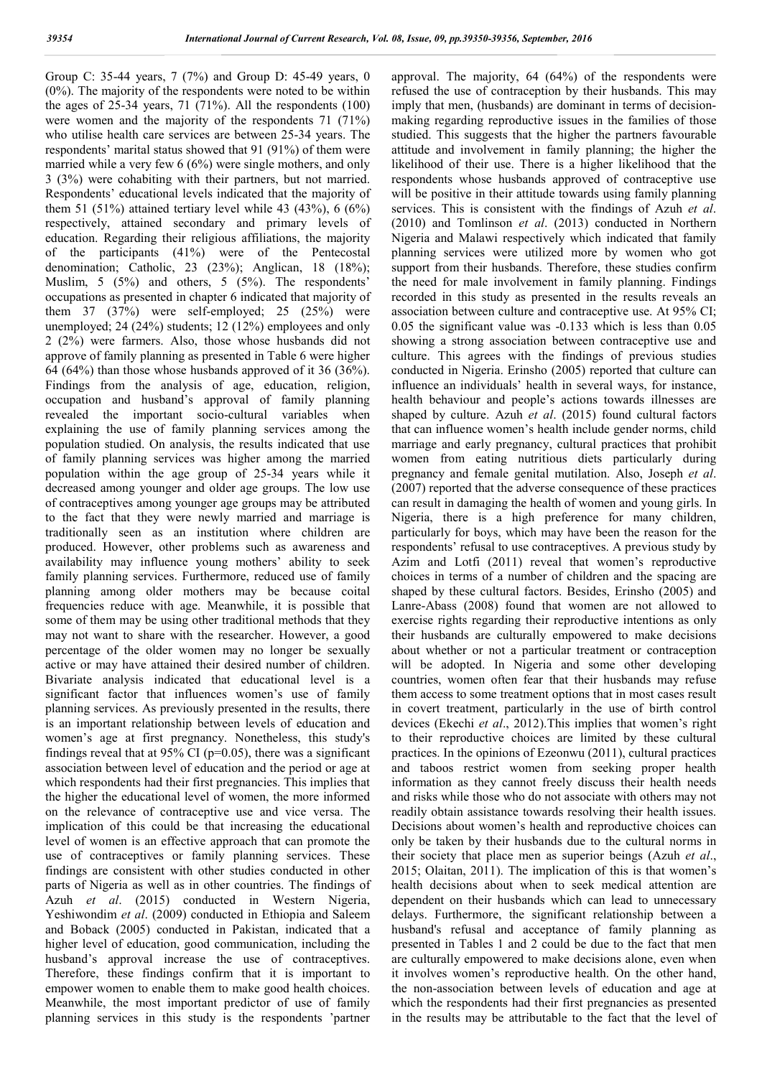Group C: 35-44 years, 7 (7%) and Group D: 45-49 years, 0 (0%). The majority of the respondents were noted to be within the ages of  $25-34$  years,  $71$  ( $71\%$ ). All the respondents (100) were women and the majority of the respondents 71 (71%) who utilise health care services are between 25-34 years. The respondents' marital status showed that 91 (91%) of them were married while a very few 6 (6%) were single mothers, and only 3 (3%) were cohabiting with their partners, but not married. Respondents' educational levels indicated that the majority of them 51 (51%) attained tertiary level while 43 (43%), 6 (6%) respectively, attained secondary and primary levels of education. Regarding their religious affiliations, the majority of the participants (41%) were of the Pentecostal denomination; Catholic, 23 (23%); Anglican, 18 (18%); Muslim, 5 (5%) and others, 5 (5%). The respondents' occupations as presented in chapter 6 indicated that majority of them 37 (37%) were self-employed; 25 (25%) were unemployed; 24 (24%) students; 12 (12%) employees and only 2 (2%) were farmers. Also, those whose husbands did not approve of family planning as presented in Table 6 were higher 64 (64%) than those whose husbands approved of it 36 (36%). Findings from the analysis of age, education, religion, occupation and husband's approval of family planning revealed the important socio-cultural variables when explaining the use of family planning services among the population studied. On analysis, the results indicated that use of family planning services was higher among the married population within the age group of 25-34 years while it decreased among younger and older age groups. The low use of contraceptives among younger age groups may be attributed to the fact that they were newly married and marriage is traditionally seen as an institution where children are produced. However, other problems such as awareness and availability may influence young mothers' ability to seek family planning services. Furthermore, reduced use of family planning among older mothers may be because coital frequencies reduce with age. Meanwhile, it is possible that some of them may be using other traditional methods that they may not want to share with the researcher. However, a good percentage of the older women may no longer be sexually active or may have attained their desired number of children. Bivariate analysis indicated that educational level is a significant factor that influences women's use of family planning services. As previously presented in the results, there is an important relationship between levels of education and women's age at first pregnancy. Nonetheless, this study's findings reveal that at 95% CI ( $p=0.05$ ), there was a significant association between level of education and the period or age at which respondents had their first pregnancies. This implies that the higher the educational level of women, the more informed on the relevance of contraceptive use and vice versa. The implication of this could be that increasing the educational level of women is an effective approach that can promote the use of contraceptives or family planning services. These findings are consistent with other studies conducted in other parts of Nigeria as well as in other countries. The findings of Azuh *et al*. (2015) conducted in Western Nigeria, Yeshiwondim *et al*. (2009) conducted in Ethiopia and Saleem and Boback (2005) conducted in Pakistan, indicated that a higher level of education, good communication, including the husband's approval increase the use of contraceptives. Therefore, these findings confirm that it is important to empower women to enable them to make good health choices. Meanwhile, the most important predictor of use of family planning services in this study is the respondents 'partner

approval. The majority, 64 (64%) of the respondents were refused the use of contraception by their husbands. This may imply that men, (husbands) are dominant in terms of decisionmaking regarding reproductive issues in the families of those studied. This suggests that the higher the partners favourable attitude and involvement in family planning; the higher the likelihood of their use. There is a higher likelihood that the respondents whose husbands approved of contraceptive use will be positive in their attitude towards using family planning services. This is consistent with the findings of Azuh *et al*. (2010) and Tomlinson *et al*. (2013) conducted in Northern Nigeria and Malawi respectively which indicated that family planning services were utilized more by women who got support from their husbands. Therefore, these studies confirm the need for male involvement in family planning. Findings recorded in this study as presented in the results reveals an association between culture and contraceptive use. At 95% CI; 0.05 the significant value was -0.133 which is less than 0.05 showing a strong association between contraceptive use and culture. This agrees with the findings of previous studies conducted in Nigeria. Erinsho (2005) reported that culture can influence an individuals' health in several ways, for instance, health behaviour and people's actions towards illnesses are shaped by culture. Azuh *et al*. (2015) found cultural factors that can influence women's health include gender norms, child marriage and early pregnancy, cultural practices that prohibit women from eating nutritious diets particularly during pregnancy and female genital mutilation. Also, Joseph *et al*. (2007) reported that the adverse consequence of these practices can result in damaging the health of women and young girls. In Nigeria, there is a high preference for many children, particularly for boys, which may have been the reason for the respondents' refusal to use contraceptives. A previous study by Azim and Lotfi (2011) reveal that women's reproductive choices in terms of a number of children and the spacing are shaped by these cultural factors. Besides, Erinsho (2005) and Lanre-Abass (2008) found that women are not allowed to exercise rights regarding their reproductive intentions as only their husbands are culturally empowered to make decisions about whether or not a particular treatment or contraception will be adopted. In Nigeria and some other developing countries, women often fear that their husbands may refuse them access to some treatment options that in most cases result in covert treatment, particularly in the use of birth control devices (Ekechi *et al*., 2012).This implies that women's right to their reproductive choices are limited by these cultural practices. In the opinions of Ezeonwu (2011), cultural practices and taboos restrict women from seeking proper health information as they cannot freely discuss their health needs and risks while those who do not associate with others may not readily obtain assistance towards resolving their health issues. Decisions about women's health and reproductive choices can only be taken by their husbands due to the cultural norms in their society that place men as superior beings (Azuh *et al*., 2015; Olaitan, 2011). The implication of this is that women's health decisions about when to seek medical attention are dependent on their husbands which can lead to unnecessary delays. Furthermore, the significant relationship between a husband's refusal and acceptance of family planning as presented in Tables 1 and 2 could be due to the fact that men are culturally empowered to make decisions alone, even when it involves women's reproductive health. On the other hand, the non-association between levels of education and age at which the respondents had their first pregnancies as presented in the results may be attributable to the fact that the level of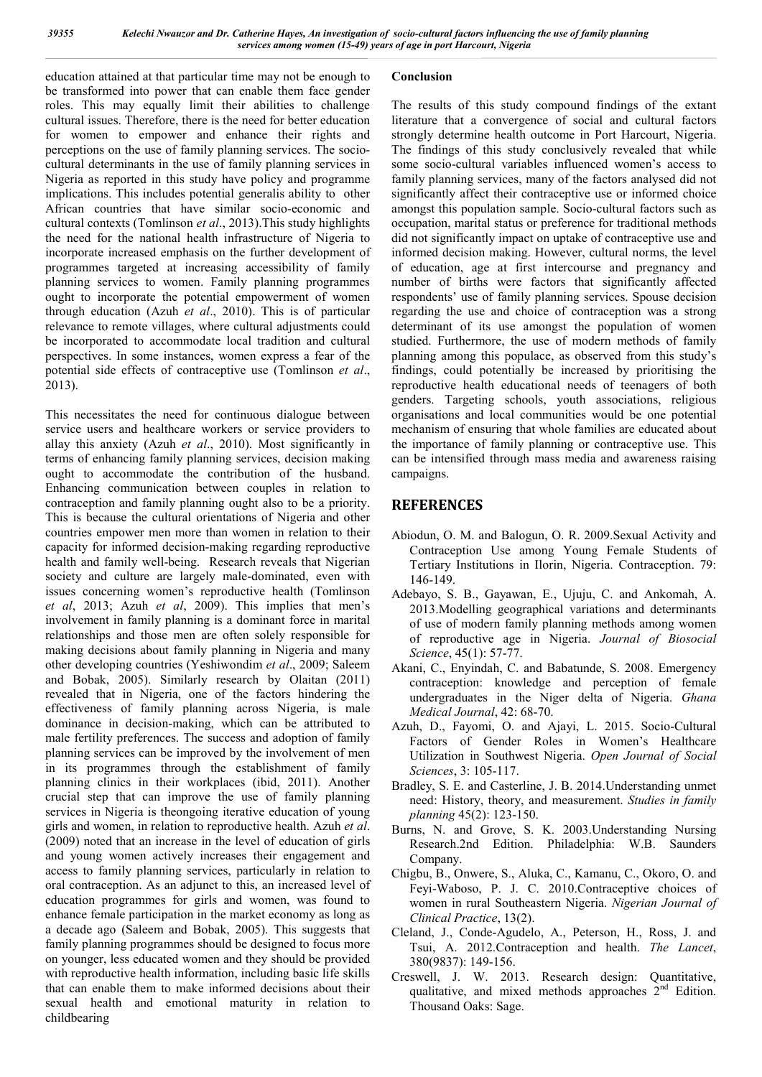education attained at that particular time may not be enough to be transformed into power that can enable them face gender roles. This may equally limit their abilities to challenge cultural issues. Therefore, there is the need for better education for women to empower and enhance their rights and perceptions on the use of family planning services. The sociocultural determinants in the use of family planning services in Nigeria as reported in this study have policy and programme implications. This includes potential generalis ability to other African countries that have similar socio-economic and cultural contexts (Tomlinson *et al*., 2013).This study highlights the need for the national health infrastructure of Nigeria to incorporate increased emphasis on the further development of programmes targeted at increasing accessibility of family planning services to women. Family planning programmes ought to incorporate the potential empowerment of women through education (Azuh *et al*., 2010). This is of particular relevance to remote villages, where cultural adjustments could be incorporated to accommodate local tradition and cultural perspectives. In some instances, women express a fear of the potential side effects of contraceptive use (Tomlinson *et al*., 2013).

This necessitates the need for continuous dialogue between service users and healthcare workers or service providers to allay this anxiety (Azuh *et al*., 2010). Most significantly in terms of enhancing family planning services, decision making ought to accommodate the contribution of the husband. Enhancing communication between couples in relation to contraception and family planning ought also to be a priority. This is because the cultural orientations of Nigeria and other countries empower men more than women in relation to their capacity for informed decision-making regarding reproductive health and family well-being. Research reveals that Nigerian society and culture are largely male-dominated, even with issues concerning women's reproductive health (Tomlinson *et al*, 2013; Azuh *et al*, 2009). This implies that men's involvement in family planning is a dominant force in marital relationships and those men are often solely responsible for making decisions about family planning in Nigeria and many other developing countries (Yeshiwondim *et al*., 2009; Saleem and Bobak, 2005). Similarly research by Olaitan (2011) revealed that in Nigeria, one of the factors hindering the effectiveness of family planning across Nigeria, is male dominance in decision-making, which can be attributed to male fertility preferences. The success and adoption of family planning services can be improved by the involvement of men in its programmes through the establishment of family planning clinics in their workplaces (ibid, 2011). Another crucial step that can improve the use of family planning services in Nigeria is theongoing iterative education of young girls and women, in relation to reproductive health. Azuh *et al*. (2009) noted that an increase in the level of education of girls and young women actively increases their engagement and access to family planning services, particularly in relation to oral contraception. As an adjunct to this, an increased level of education programmes for girls and women, was found to enhance female participation in the market economy as long as a decade ago (Saleem and Bobak, 2005). This suggests that family planning programmes should be designed to focus more on younger, less educated women and they should be provided with reproductive health information, including basic life skills that can enable them to make informed decisions about their sexual health and emotional maturity in relation to childbearing

## Conclusion

The results of this study compound findings of the extant literature that a convergence of social and cultural factors strongly determine health outcome in Port Harcourt, Nigeria. The findings of this study conclusively revealed that while some socio-cultural variables influenced women's access to family planning services, many of the factors analysed did not significantly affect their contraceptive use or informed choice amongst this population sample. Socio-cultural factors such as occupation, marital status or preference for traditional methods did not significantly impact on uptake of contraceptive use and informed decision making. However, cultural norms, the level of education, age at first intercourse and pregnancy and number of births were factors that significantly affected respondents' use of family planning services. Spouse decision regarding the use and choice of contraception was a strong determinant of its use amongst the population of women studied. Furthermore, the use of modern methods of family planning among this populace, as observed from this study's findings, could potentially be increased by prioritising the reproductive health educational needs of teenagers of both genders. Targeting schools, youth associations, religious organisations and local communities would be one potential mechanism of ensuring that whole families are educated about the importance of family planning or contraceptive use. This can be intensified through mass media and awareness raising campaigns.

# **REFERENCES**

- Abiodun, O. M. and Balogun, O. R. 2009.Sexual Activity and Contraception Use among Young Female Students of Tertiary Institutions in Ilorin, Nigeria. Contraception. 79: 146-149.
- Adebayo, S. B., Gayawan, E., Ujuju, C. and Ankomah, A. 2013.Modelling geographical variations and determinants of use of modern family planning methods among women of reproductive age in Nigeria. *Journal of Biosocial Science*, 45(1): 57-77.
- Akani, C., Enyindah, C. and Babatunde, S. 2008. Emergency contraception: knowledge and perception of female undergraduates in the Niger delta of Nigeria. *Ghana Medical Journal*, 42: 68-70.
- Azuh, D., Fayomi, O. and Ajayi, L. 2015. Socio-Cultural Factors of Gender Roles in Women's Healthcare Utilization in Southwest Nigeria. *Open Journal of Social Sciences*, 3: 105-117.
- Bradley, S. E. and Casterline, J. B. 2014.Understanding unmet need: History, theory, and measurement. *Studies in family planning* 45(2): 123-150.
- Burns, N. and Grove, S. K. 2003.Understanding Nursing Research.2nd Edition. Philadelphia: W.B. Saunders Company.
- Chigbu, B., Onwere, S., Aluka, C., Kamanu, C., Okoro, O. and Feyi-Waboso, P. J. C. 2010.Contraceptive choices of women in rural Southeastern Nigeria. *Nigerian Journal of Clinical Practice*, 13(2).
- Cleland, J., Conde-Agudelo, A., Peterson, H., Ross, J. and Tsui, A. 2012.Contraception and health. *The Lancet*, 380(9837): 149-156.
- Creswell, J. W. 2013. Research design: Quantitative, qualitative, and mixed methods approaches 2nd Edition. Thousand Oaks: Sage.